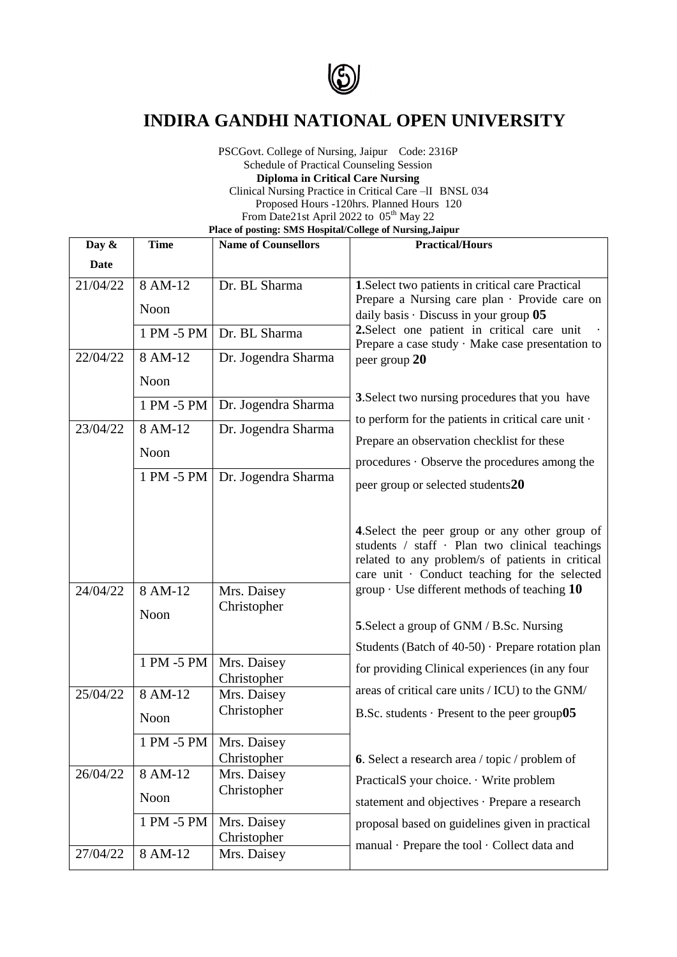

## **INDIRA GANDHI NATIONAL OPEN UNIVERSITY**

PSCGovt. College of Nursing, Jaipur Code: 2316P Schedule of Practical Counseling Session **Diploma in Critical Care Nursing** Clinical Nursing Practice in Critical Care –lI BNSL 034 Proposed Hours -120hrs. Planned Hours 120 From Date21st April 2022 to 05<sup>th</sup> May 22  **Place of posting: SMS Hospital/College of Nursing,Jaipur**

| Day &       | <b>Time</b>     | <b>Name of Counsellors</b>              | <b>Practical/Hours</b>                                                                                                                                                                                |
|-------------|-----------------|-----------------------------------------|-------------------------------------------------------------------------------------------------------------------------------------------------------------------------------------------------------|
| <b>Date</b> |                 |                                         |                                                                                                                                                                                                       |
| 21/04/22    | 8 AM-12         | Dr. BL Sharma                           | 1. Select two patients in critical care Practical                                                                                                                                                     |
|             | Noon            |                                         | Prepare a Nursing care plan · Provide care on<br>daily basis $\cdot$ Discuss in your group $05$                                                                                                       |
|             | 1 PM -5 PM      | Dr. BL Sharma                           | 2. Select one patient in critical care unit<br>Prepare a case study · Make case presentation to                                                                                                       |
| 22/04/22    | 8 AM-12         | Dr. Jogendra Sharma                     | peer group 20                                                                                                                                                                                         |
|             | Noon            |                                         |                                                                                                                                                                                                       |
|             | 1 PM -5 PM      | Dr. Jogendra Sharma                     | 3. Select two nursing procedures that you have                                                                                                                                                        |
| 23/04/22    | 8 AM-12         | Dr. Jogendra Sharma                     | to perform for the patients in critical care unit $\cdot$                                                                                                                                             |
|             | Noon            |                                         | Prepare an observation checklist for these<br>procedures · Observe the procedures among the                                                                                                           |
|             | 1 PM -5 PM      | Dr. Jogendra Sharma                     |                                                                                                                                                                                                       |
|             |                 |                                         | peer group or selected students20                                                                                                                                                                     |
|             |                 |                                         | 4. Select the peer group or any other group of<br>students / staff · Plan two clinical teachings<br>related to any problem/s of patients in critical<br>care unit · Conduct teaching for the selected |
| 24/04/22    | 8 AM-12<br>Noon | Mrs. Daisey<br>Christopher              | group $\cdot$ Use different methods of teaching 10                                                                                                                                                    |
|             |                 |                                         | 5. Select a group of GNM / B.Sc. Nursing                                                                                                                                                              |
|             |                 |                                         | Students (Batch of 40-50) · Prepare rotation plan                                                                                                                                                     |
|             | 1 PM -5 PM      | Mrs. Daisey<br>Christopher              | for providing Clinical experiences (in any four                                                                                                                                                       |
| 25/04/22    | 8 AM-12         | Mrs. Daisey                             | areas of critical care units / ICU) to the GNM/                                                                                                                                                       |
|             | Noon            | Christopher                             | B.Sc. students $\cdot$ Present to the peer group 05                                                                                                                                                   |
|             |                 | 1 PM -5 PM   Mrs. Daisey<br>Christopher | 6. Select a research area / topic / problem of                                                                                                                                                        |
| 26/04/22    | 8 AM-12         | Mrs. Daisey<br>Christopher              | PracticalS your choice. · Write problem                                                                                                                                                               |
|             | Noon            |                                         | statement and objectives · Prepare a research                                                                                                                                                         |
|             | 1 PM -5 PM      | Mrs. Daisey<br>Christopher              | proposal based on guidelines given in practical                                                                                                                                                       |
| 27/04/22    | 8 AM-12         | Mrs. Daisey                             | manual · Prepare the tool · Collect data and                                                                                                                                                          |